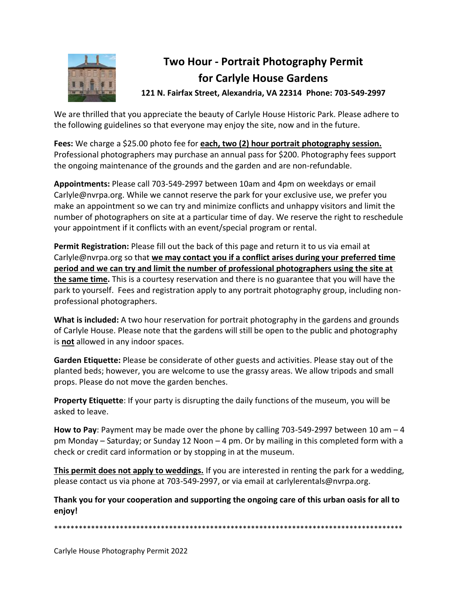

## **Two Hour - Portrait Photography Permit for Carlyle House Gardens**

**121 N. Fairfax Street, Alexandria, VA 22314 Phone: 703-549-2997**

We are thrilled that you appreciate the beauty of Carlyle House Historic Park. Please adhere to the following guidelines so that everyone may enjoy the site, now and in the future.

Fees: We charge a \$25.00 photo fee for **each, two (2) hour portrait photography session.** Professional photographers may purchase an annual pass for \$200. Photography fees support the ongoing maintenance of the grounds and the garden and are non-refundable.

**Appointments:** Please call 703-549-2997 between 10am and 4pm on weekdays or email Carlyle@nvrpa.org. While we cannot reserve the park for your exclusive use, we prefer you make an appointment so we can try and minimize conflicts and unhappy visitors and limit the number of photographers on site at a particular time of day. We reserve the right to reschedule your appointment if it conflicts with an event/special program or rental.

**Permit Registration:** Please fill out the back of this page and return it to us via email at Carlyle@nvrpa.org so that **we may contact you if a conflict arises during your preferred time period and we can try and limit the number of professional photographers using the site at the same time.** This is a courtesy reservation and there is no guarantee that you will have the park to yourself. Fees and registration apply to any portrait photography group, including nonprofessional photographers.

**What is included:** A two hour reservation for portrait photography in the gardens and grounds of Carlyle House. Please note that the gardens will still be open to the public and photography is **not** allowed in any indoor spaces.

**Garden Etiquette:** Please be considerate of other guests and activities. Please stay out of the planted beds; however, you are welcome to use the grassy areas. We allow tripods and small props. Please do not move the garden benches.

**Property Etiquette**: If your party is disrupting the daily functions of the museum, you will be asked to leave.

**How to Pay**: Payment may be made over the phone by calling 703-549-2997 between 10 am – 4 pm Monday – Saturday; or Sunday 12 Noon – 4 pm. Or by mailing in this completed form with a check or credit card information or by stopping in at the museum.

**This permit does not apply to weddings.** If you are interested in renting the park for a wedding, please contact us via phone at 703-549-2997, or via email at carlylerentals@nvrpa.org.

**Thank you for your cooperation and supporting the ongoing care of this urban oasis for all to enjoy!**

\*\*\*\*\*\*\*\*\*\*\*\*\*\*\*\*\*\*\*\*\*\*\*\*\*\*\*\*\*\*\*\*\*\*\*\*\*\*\*\*\*\*\*\*\*\*\*\*\*\*\*\*\*\*\*\*\*\*\*\*\*\*\*\*\*\*\*\*\*\*\*\*\*\*\*\*\*\*\*\*\*\*\*\*\*